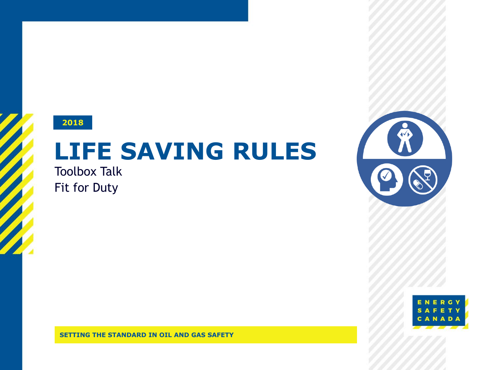

# **LIFE SAVING RULES**

Toolbox Talk Fit for Duty





**LIFE SAVING RULES - FIT FOR DUTY 1 SETTING THE STANDARD IN OIL AND GAS SAFETY**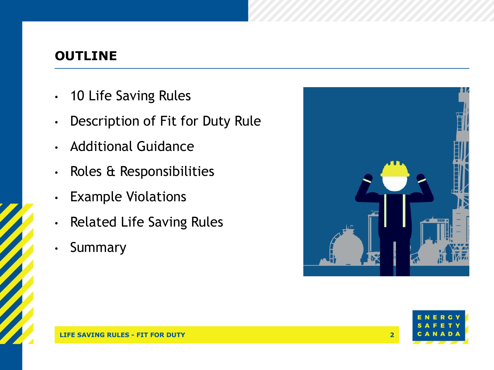#### **OUTLINE**

- 10 Life Saving Rules
- Description of Fit for Duty Rule
- Additional Guidance
- Roles & Responsibilities
- Example Violations
- Related Life Saving Rules
- Summary



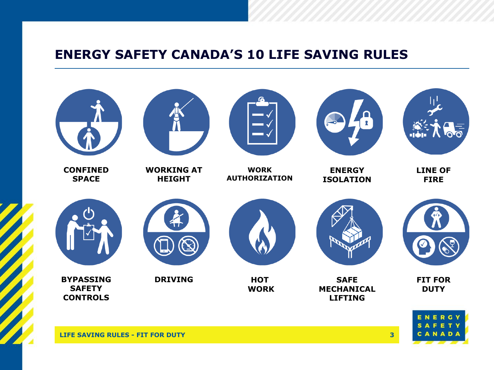#### **ENERGY SAFETY CANADA'S 10 LIFE SAVING RULES**

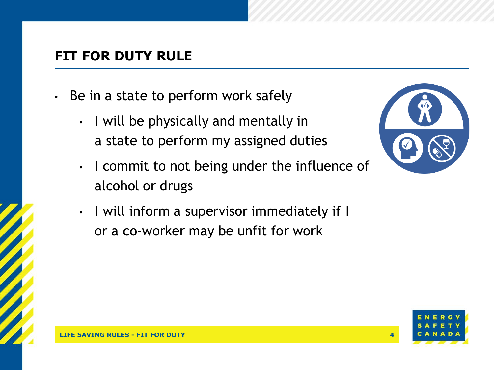## **FIT FOR DUTY RULE**

- Be in a state to perform work safely
	- I will be physically and mentally in a state to perform my assigned duties
	- I commit to not being under the influence of alcohol or drugs
	- I will inform a supervisor immediately if I or a co-worker may be unfit for work



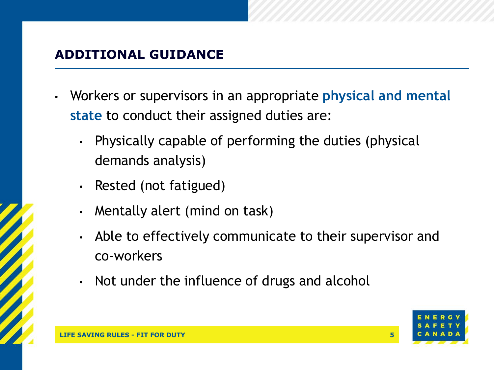# **ADDITIONAL GUIDANCE**

- Workers or supervisors in an appropriate **physical and mental state** to conduct their assigned duties are:
	- Physically capable of performing the duties (physical demands analysis)
	- Rested (not fatigued)
	- Mentally alert (mind on task)
	- Able to effectively communicate to their supervisor and co-workers
	- Not under the influence of drugs and alcohol

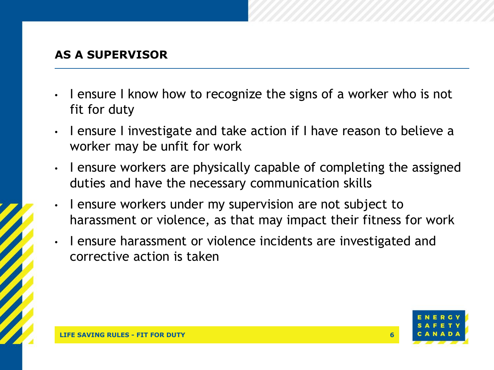#### **AS A SUPERVISOR**

- I ensure I know how to recognize the signs of a worker who is not fit for duty
- I ensure I investigate and take action if I have reason to believe a worker may be unfit for work
- I ensure workers are physically capable of completing the assigned duties and have the necessary communication skills
- I ensure workers under my supervision are not subject to harassment or violence, as that may impact their fitness for work
- I ensure harassment or violence incidents are investigated and corrective action is taken

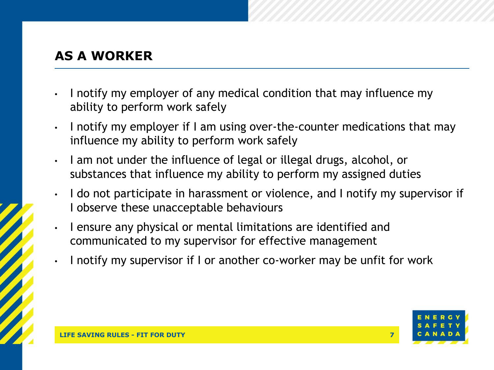# **AS A WORKER**

- I notify my employer of any medical condition that may influence my ability to perform work safely
- I notify my employer if I am using over-the-counter medications that may influence my ability to perform work safely
- I am not under the influence of legal or illegal drugs, alcohol, or substances that influence my ability to perform my assigned duties
- I do not participate in harassment or violence, and I notify my supervisor if I observe these unacceptable behaviours
- I ensure any physical or mental limitations are identified and communicated to my supervisor for effective management
- I notify my supervisor if I or another co-worker may be unfit for work

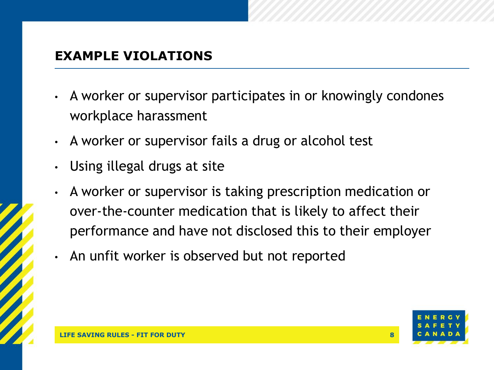## **EXAMPLE VIOLATIONS**

- A worker or supervisor participates in or knowingly condones workplace harassment
- A worker or supervisor fails a drug or alcohol test
- Using illegal drugs at site
- A worker or supervisor is taking prescription medication or over-the-counter medication that is likely to affect their performance and have not disclosed this to their employer
- An unfit worker is observed but not reported

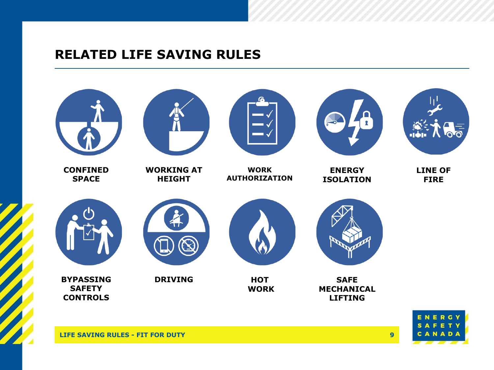#### **RELATED LIFE SAVING RULES**

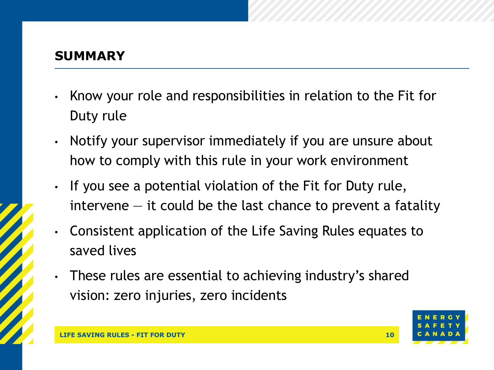#### **SUMMARY**

- Know your role and responsibilities in relation to the Fit for Duty rule
- Notify your supervisor immediately if you are unsure about how to comply with this rule in your work environment
- If you see a potential violation of the Fit for Duty rule,  $intervene - it$  could be the last chance to prevent a fatality
- Consistent application of the Life Saving Rules equates to saved lives
- These rules are essential to achieving industry's shared vision: zero injuries, zero incidents